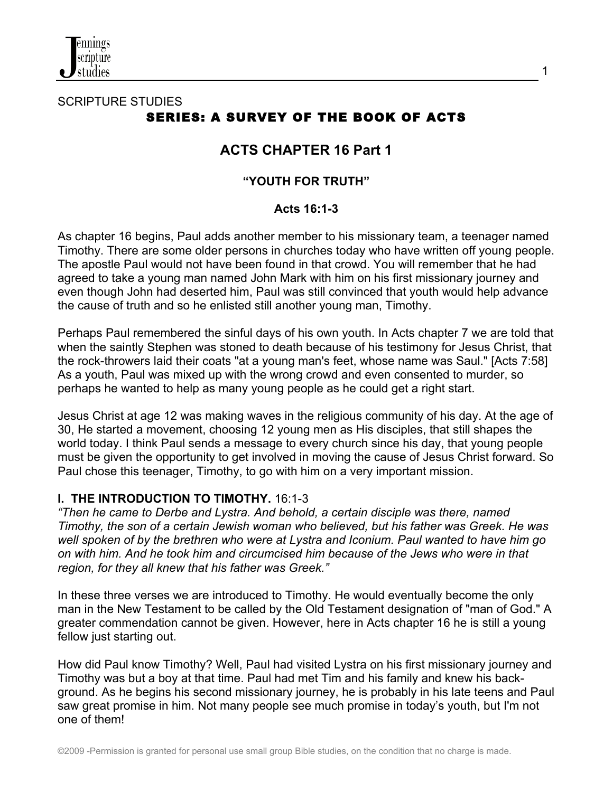

# SCRIPTURE STUDIES SERIES: A SURVEY OF THE BOOK OF ACTS

# **ACTS CHAPTER 16 Part 1**

## **"YOUTH FOR TRUTH"**

#### **Acts 16:1-3**

As chapter 16 begins, Paul adds another member to his missionary team, a teenager named Timothy. There are some older persons in churches today who have written off young people. The apostle Paul would not have been found in that crowd. You will remember that he had agreed to take a young man named John Mark with him on his first missionary journey and even though John had deserted him, Paul was still convinced that youth would help advance the cause of truth and so he enlisted still another young man, Timothy.

Perhaps Paul remembered the sinful days of his own youth. In Acts chapter 7 we are told that when the saintly Stephen was stoned to death because of his testimony for Jesus Christ, that the rock-throwers laid their coats "at a young man's feet, whose name was Saul." [Acts 7:58] As a youth, Paul was mixed up with the wrong crowd and even consented to murder, so perhaps he wanted to help as many young people as he could get a right start.

Jesus Christ at age 12 was making waves in the religious community of his day. At the age of 30, He started a movement, choosing 12 young men as His disciples, that still shapes the world today. I think Paul sends a message to every church since his day, that young people must be given the opportunity to get involved in moving the cause of Jesus Christ forward. So Paul chose this teenager, Timothy, to go with him on a very important mission.

#### **I. THE INTRODUCTION TO TIMOTHY.** 16:1-3

*"Then he came to Derbe and Lystra. And behold, a certain disciple was there, named Timothy, the son of a certain Jewish woman who believed, but his father was Greek. He was well spoken of by the brethren who were at Lystra and Iconium. Paul wanted to have him go on with him. And he took him and circumcised him because of the Jews who were in that region, for they all knew that his father was Greek."*

In these three verses we are introduced to Timothy. He would eventually become the only man in the New Testament to be called by the Old Testament designation of "man of God." A greater commendation cannot be given. However, here in Acts chapter 16 he is still a young fellow just starting out.

How did Paul know Timothy? Well, Paul had visited Lystra on his first missionary journey and Timothy was but a boy at that time. Paul had met Tim and his family and knew his background. As he begins his second missionary journey, he is probably in his late teens and Paul saw great promise in him. Not many people see much promise in today's youth, but I'm not one of them!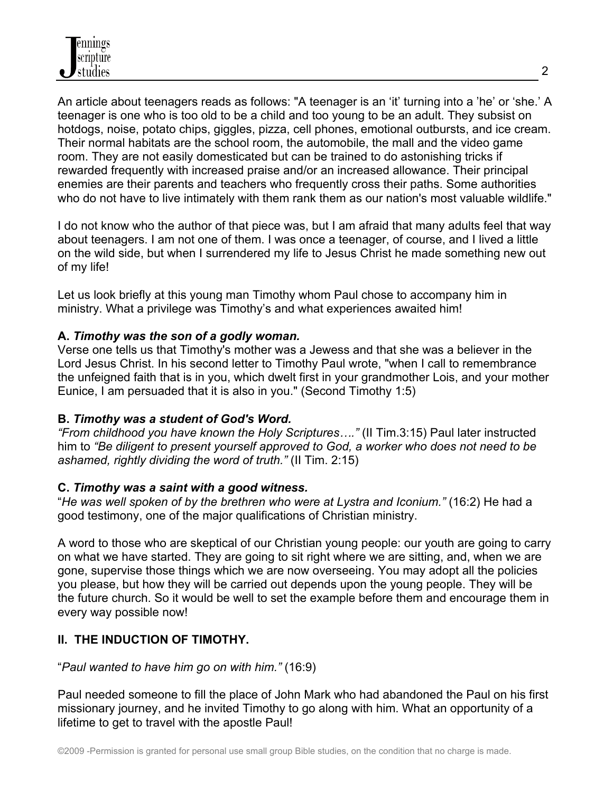An article about teenagers reads as follows: "A teenager is an 'it' turning into a 'he' or 'she.' A teenager is one who is too old to be a child and too young to be an adult. They subsist on hotdogs, noise, potato chips, giggles, pizza, cell phones, emotional outbursts, and ice cream. Their normal habitats are the school room, the automobile, the mall and the video game room. They are not easily domesticated but can be trained to do astonishing tricks if rewarded frequently with increased praise and/or an increased allowance. Their principal enemies are their parents and teachers who frequently cross their paths. Some authorities who do not have to live intimately with them rank them as our nation's most valuable wildlife."

I do not know who the author of that piece was, but I am afraid that many adults feel that way about teenagers. I am not one of them. I was once a teenager, of course, and I lived a little on the wild side, but when I surrendered my life to Jesus Christ he made something new out of my life!

Let us look briefly at this young man Timothy whom Paul chose to accompany him in ministry. What a privilege was Timothy's and what experiences awaited him!

#### **A.** *Timothy was the son of a godly woman.*

Verse one tells us that Timothy's mother was a Jewess and that she was a believer in the Lord Jesus Christ. In his second letter to Timothy Paul wrote, "when I call to remembrance the unfeigned faith that is in you, which dwelt first in your grandmother Lois, and your mother Eunice, I am persuaded that it is also in you." (Second Timothy 1:5)

#### **B.** *Timothy was a student of God's Word.*

*"From childhood you have known the Holy Scriptures…."* (II Tim.3:15) Paul later instructed him to *"Be diligent to present yourself approved to God, a worker who does not need to be ashamed, rightly dividing the word of truth."* (II Tim. 2:15)

#### **C.** *Timothy was a saint with a good witness.*

"*He was well spoken of by the brethren who were at Lystra and Iconium."* (16:2) He had a good testimony, one of the major qualifications of Christian ministry.

A word to those who are skeptical of our Christian young people: our youth are going to carry on what we have started. They are going to sit right where we are sitting, and, when we are gone, supervise those things which we are now overseeing. You may adopt all the policies you please, but how they will be carried out depends upon the young people. They will be the future church. So it would be well to set the example before them and encourage them in every way possible now!

## **II. THE INDUCTION OF TIMOTHY.**

#### "*Paul wanted to have him go on with him."* (16:9)

Paul needed someone to fill the place of John Mark who had abandoned the Paul on his first missionary journey, and he invited Timothy to go along with him. What an opportunity of a lifetime to get to travel with the apostle Paul!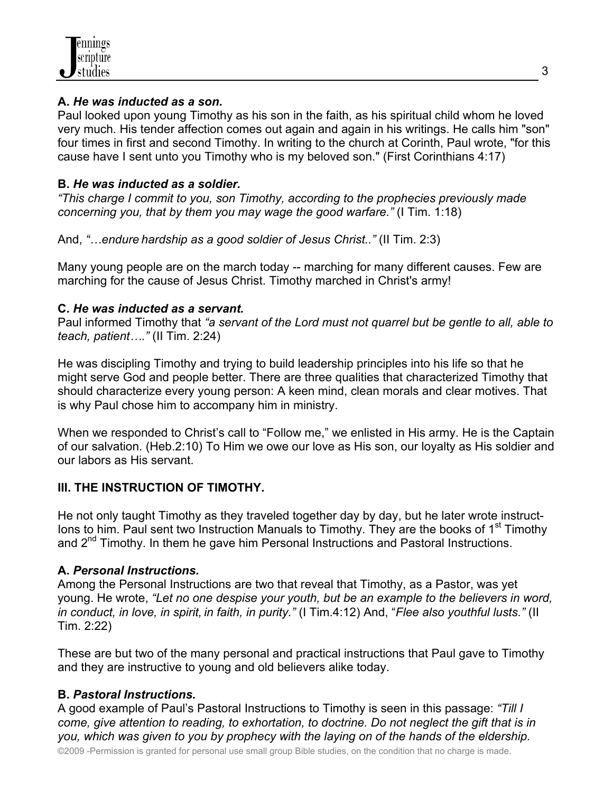#### **A.** *He was inducted as a son.*

Paul looked upon young Timothy as his son in the faith, as his spiritual child whom he loved very much. His tender affection comes out again and again in his writings. He calls him "son" four times in first and second Timothy. In writing to the church at Corinth, Paul wrote, "for this cause have I sent unto you Timothy who is my beloved son." (First Corinthians 4:17)

### **B.** *He was inducted as a soldier.*

*"This charge I commit to you, son Timothy, according to the prophecies previously made concerning you, that by them you may wage the good warfare."* (I Tim. 1:18)

And, *"…endure hardship as a good soldier of Jesus Christ.."* (II Tim. 2:3)

Many young people are on the march today -- marching for many different causes. Few are marching for the cause of Jesus Christ. Timothy marched in Christ's army!

## **C.** *He was inducted as a servant.*

Paul informed Timothy that *"a servant of the Lord must not quarrel but be gentle to all, able to teach, patient…."* (II Tim. 2:24)

He was discipling Timothy and trying to build leadership principles into his life so that he might serve God and people better. There are three qualities that characterized Timothy that should characterize every young person: A keen mind, clean morals and clear motives. That is why Paul chose him to accompany him in ministry.

When we responded to Christ's call to "Follow me," we enlisted in His army. He is the Captain of our salvation. (Heb.2:10) To Him we owe our love as His son, our loyalty as His soldier and our labors as His servant.

## **III. THE INSTRUCTION OF TIMOTHY.**

He not only taught Timothy as they traveled together day by day, but he later wrote instruct-Ions to him. Paul sent two Instruction Manuals to Timothy. They are the books of  $1<sup>st</sup>$  Timothy and 2<sup>nd</sup> Timothy. In them he gave him Personal Instructions and Pastoral Instructions.

## **A.** *Personal Instructions.*

Among the Personal Instructions are two that reveal that Timothy, as a Pastor, was yet young. He wrote, *"Let no one despise your youth, but be an example to the believers in word, in conduct, in love, in spirit, in faith, in purity."* (I Tim.4:12) And, "*Flee also youthful lusts."* (II Tim. 2:22)

These are but two of the many personal and practical instructions that Paul gave to Timothy and they are instructive to young and old believers alike today.

## **B.** *Pastoral Instructions.*

A good example of Paul's Pastoral Instructions to Timothy is seen in this passage: *"Till I come, give attention to reading, to exhortation, to doctrine. Do not neglect the gift that is in you, which was given to you by prophecy with the laying on of the hands of the eldership.* 

©2009 -Permission is granted for personal use small group Bible studies, on the condition that no charge is made.